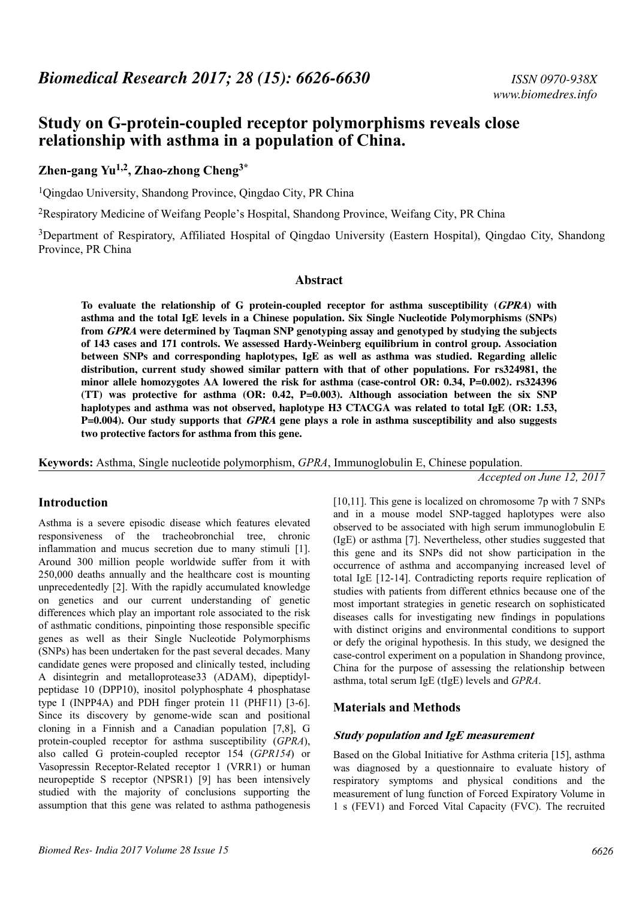# **Study on G-protein-coupled receptor polymorphisms reveals close relationship with asthma in a population of China.**

## **Zhen-gang Yu1,2, Zhao-zhong Cheng3\***

<sup>1</sup>Qingdao University, Shandong Province, Qingdao City, PR China

<sup>2</sup>Respiratory Medicine of Weifang People's Hospital, Shandong Province, Weifang City, PR China

<sup>3</sup>Department of Respiratory, Affiliated Hospital of Qingdao University (Eastern Hospital), Qingdao City, Shandong Province, PR China

#### **Abstract**

**To evaluate the relationship of G protein-coupled receptor for asthma susceptibility (GPRA) with asthma and the total IgE levels in a Chinese population. Six Single Nucleotide Polymorphisms (SNPs) from GPRA were determined by Taqman SNP genotyping assay and genotyped by studying the subjects of 143 cases and 171 controls. We assessed Hardy-Weinberg equilibrium in control group. Association between SNPs and corresponding haplotypes, IgE as well as asthma was studied. Regarding allelic distribution, current study showed similar pattern with that of other populations. For rs324981, the minor allele homozygotes AA lowered the risk for asthma (case-control OR: 0.34, P=0.002). rs324396 (TT) was protective for asthma (OR: 0.42, P=0.003). Although association between the six SNP haplotypes and asthma was not observed, haplotype H3 CTACGA was related to total IgE (OR: 1.53, P=0.004). Our study supports that GPRA gene plays a role in asthma susceptibility and also suggests two protective factors for asthma from this gene.**

**Keywords:** Asthma, Single nucleotide polymorphism, *GPRA*, Immunoglobulin E, Chinese population.

*Accepted on June 12, 2017*

#### **Introduction**

Asthma is a severe episodic disease which features elevated responsiveness of the tracheobronchial tree, chronic inflammation and mucus secretion due to many stimuli [1]. Around 300 million people worldwide suffer from it with 250,000 deaths annually and the healthcare cost is mounting unprecedentedly [2]. With the rapidly accumulated knowledge on genetics and our current understanding of genetic differences which play an important role associated to the risk of asthmatic conditions, pinpointing those responsible specific genes as well as their Single Nucleotide Polymorphisms (SNPs) has been undertaken for the past several decades. Many candidate genes were proposed and clinically tested, including A disintegrin and metalloprotease33 (ADAM), dipeptidylpeptidase 10 (DPP10), inositol polyphosphate 4 phosphatase type I (INPP4A) and PDH finger protein 11 (PHF11) [3-6]. Since its discovery by genome-wide scan and positional cloning in a Finnish and a Canadian population [7,8], G protein-coupled receptor for asthma susceptibility (*GPRA*), also called G protein-coupled receptor 154 (*GPR154*) or Vasopressin Receptor-Related receptor 1 (VRR1) or human neuropeptide S receptor (NPSR1) [9] has been intensively studied with the majority of conclusions supporting the assumption that this gene was related to asthma pathogenesis

[10,11]. This gene is localized on chromosome 7p with 7 SNPs and in a mouse model SNP-tagged haplotypes were also observed to be associated with high serum immunoglobulin E (IgE) or asthma [7]. Nevertheless, other studies suggested that this gene and its SNPs did not show participation in the occurrence of asthma and accompanying increased level of total IgE [12-14]. Contradicting reports require replication of studies with patients from different ethnics because one of the most important strategies in genetic research on sophisticated diseases calls for investigating new findings in populations with distinct origins and environmental conditions to support or defy the original hypothesis. In this study, we designed the case-control experiment on a population in Shandong province, China for the purpose of assessing the relationship between asthma, total serum IgE (tIgE) levels and *GPRA*.

## **Materials and Methods**

#### **Study population and IgE measurement**

Based on the Global Initiative for Asthma criteria [15], asthma was diagnosed by a questionnaire to evaluate history of respiratory symptoms and physical conditions and the measurement of lung function of Forced Expiratory Volume in 1 s (FEV1) and Forced Vital Capacity (FVC). The recruited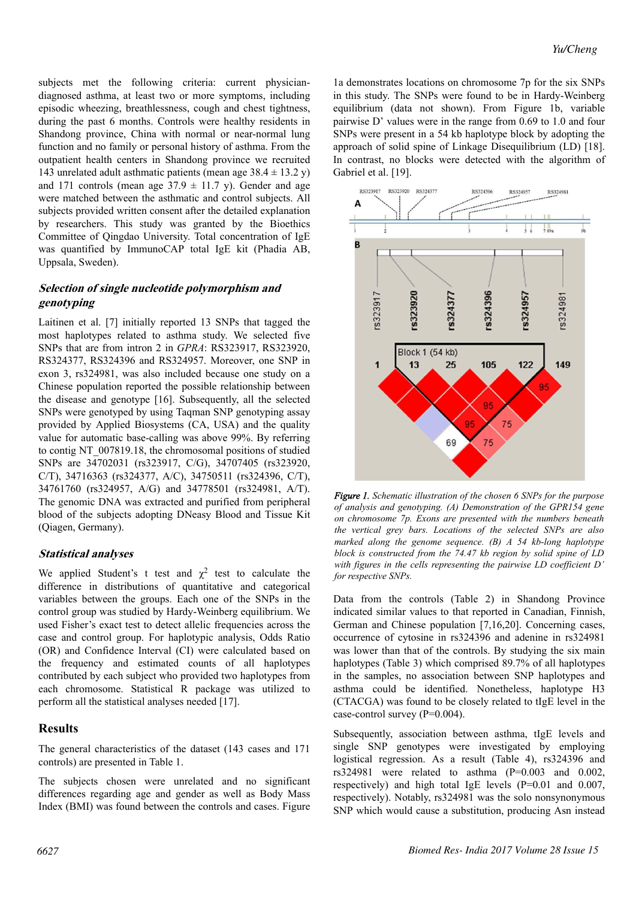subjects met the following criteria: current physiciandiagnosed asthma, at least two or more symptoms, including episodic wheezing, breathlessness, cough and chest tightness, during the past 6 months. Controls were healthy residents in Shandong province, China with normal or near-normal lung function and no family or personal history of asthma. From the outpatient health centers in Shandong province we recruited 143 unrelated adult asthmatic patients (mean age  $38.4 \pm 13.2$  y) and 171 controls (mean age  $37.9 \pm 11.7$  y). Gender and age were matched between the asthmatic and control subjects. All subjects provided written consent after the detailed explanation by researchers. This study was granted by the Bioethics Committee of Qingdao University. Total concentration of IgE was quantified by ImmunoCAP total IgE kit (Phadia AB, Uppsala, Sweden).

#### **Selection of single nucleotide polymorphism and genotyping**

Laitinen et al. [7] initially reported 13 SNPs that tagged the most haplotypes related to asthma study. We selected five SNPs that are from intron 2 in *GPRA*: RS323917, RS323920, RS324377, RS324396 and RS324957. Moreover, one SNP in exon 3, rs324981, was also included because one study on a Chinese population reported the possible relationship between the disease and genotype [16]. Subsequently, all the selected SNPs were genotyped by using Taqman SNP genotyping assay provided by Applied Biosystems (CA, USA) and the quality value for automatic base-calling was above 99%. By referring to contig NT\_007819.18, the chromosomal positions of studied SNPs are 34702031 (rs323917, C/G), 34707405 (rs323920, C/T), 34716363 (rs324377, A/C), 34750511 (rs324396, C/T), 34761760 (rs324957, A/G) and 34778501 (rs324981, A/T). The genomic DNA was extracted and purified from peripheral blood of the subjects adopting DNeasy Blood and Tissue Kit (Qiagen, Germany).

#### **Statistical analyses**

We applied Student's t test and  $\chi^2$  test to calculate the difference in distributions of quantitative and categorical variables between the groups. Each one of the SNPs in the control group was studied by Hardy-Weinberg equilibrium. We used Fisher's exact test to detect allelic frequencies across the case and control group. For haplotypic analysis, Odds Ratio (OR) and Confidence Interval (CI) were calculated based on the frequency and estimated counts of all haplotypes contributed by each subject who provided two haplotypes from each chromosome. Statistical R package was utilized to perform all the statistical analyses needed [17].

## **Results**

The general characteristics of the dataset (143 cases and 171 controls) are presented in Table 1.

The subjects chosen were unrelated and no significant differences regarding age and gender as well as Body Mass Index (BMI) was found between the controls and cases. Figure

1a demonstrates locations on chromosome 7p for the six SNPs in this study. The SNPs were found to be in Hardy-Weinberg equilibrium (data not shown). From Figure 1b, variable pairwise D' values were in the range from 0.69 to 1.0 and four SNPs were present in a 54 kb haplotype block by adopting the approach of solid spine of Linkage Disequilibrium (LD) [18]. In contrast, no blocks were detected with the algorithm of Gabriel et al. [19].



*Figure 1. Schematic illustration of the chosen 6 SNPs for the purpose of analysis and genotyping. (A) Demonstration of the GPR154 gene on chromosome 7p. Exons are presented with the numbers beneath the vertical grey bars. Locations of the selected SNPs are also marked along the genome sequence. (B) A 54 kb-long haplotype block is constructed from the 74.47 kb region by solid spine of LD with figures in the cells representing the pairwise LD coefficient D' for respective SNPs.*

Data from the controls (Table 2) in Shandong Province indicated similar values to that reported in Canadian, Finnish, German and Chinese population [7,16,20]. Concerning cases, occurrence of cytosine in rs324396 and adenine in rs324981 was lower than that of the controls. By studying the six main haplotypes (Table 3) which comprised 89.7% of all haplotypes in the samples, no association between SNP haplotypes and asthma could be identified. Nonetheless, haplotype H3 (CTACGA) was found to be closely related to tIgE level in the case-control survey (P=0.004).

Subsequently, association between asthma, tIgE levels and single SNP genotypes were investigated by employing logistical regression. As a result (Table 4), rs324396 and rs324981 were related to asthma (P=0.003 and 0.002, respectively) and high total IgE levels (P=0.01 and 0.007, respectively). Notably, rs324981 was the solo nonsynonymous SNP which would cause a substitution, producing Asn instead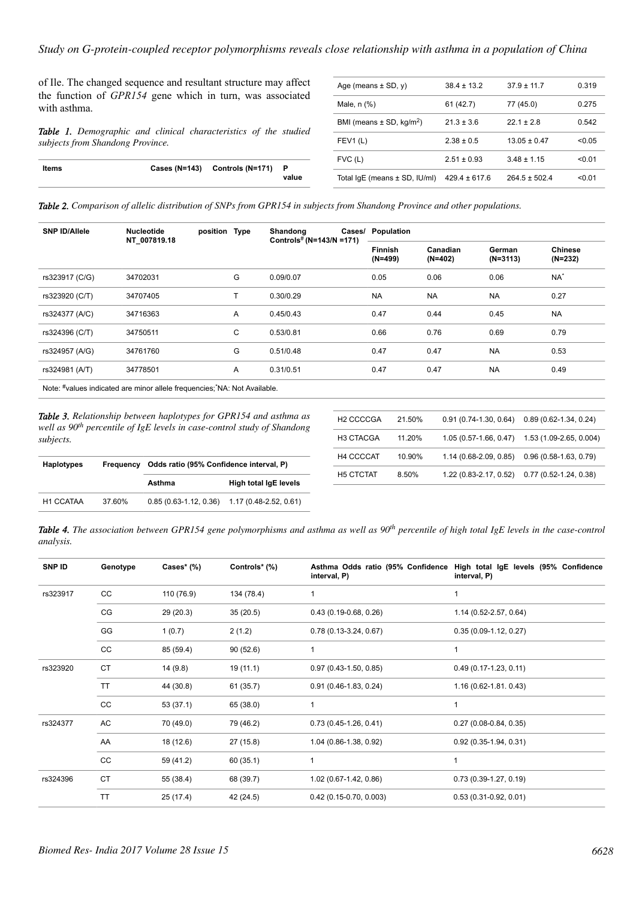of Ile. The changed sequence and resultant structure may affect the function of *GPR154* gene which in turn, was associated with asthma.

*Table 1. Demographic and clinical characteristics of the studied subjects from Shandong Province.*

| Items |  | Cases (N=143) Controls (N=171) | value |
|-------|--|--------------------------------|-------|
|-------|--|--------------------------------|-------|

| Age (means $\pm$ SD, y)                  | $38.4 \pm 13.2$   | $37.9 \pm 11.7$   | 0.319  |
|------------------------------------------|-------------------|-------------------|--------|
| Male, $n$ $%$ )                          | 61 (42.7)         | 77 (45.0)         | 0.275  |
| BMI (means $\pm$ SD, kg/m <sup>2</sup> ) | $21.3 \pm 3.6$    | $221 + 28$        | 0.542  |
| FEV1(L)                                  | $2.38 \pm 0.5$    | $13.05 \pm 0.47$  | < 0.05 |
| $FVC$ (L)                                | $2.51 \pm 0.93$   | $3.48 \pm 1.15$   | < 0.01 |
| Total $IqE$ (means $\pm$ SD, IU/ml)      | $429.4 \pm 617.6$ | $264.5 \pm 502.4$ | < 0.01 |
|                                          |                   |                   |        |

*Table 2. Comparison of allelic distribution of SNPs from GPR154 in subjects from Shandong Province and other populations.*

| <b>SNP ID/Allele</b> | <b>Nucleotide</b><br>NT_007819.18                                                  | position Type |   | Shandong<br>Controls# (N=143/N =171) | Cases/ Population           |                       |                      |                             |
|----------------------|------------------------------------------------------------------------------------|---------------|---|--------------------------------------|-----------------------------|-----------------------|----------------------|-----------------------------|
|                      |                                                                                    |               |   |                                      | <b>Finnish</b><br>$(N=499)$ | Canadian<br>$(N=402)$ | German<br>$(N=3113)$ | <b>Chinese</b><br>$(N=232)$ |
| rs323917 (C/G)       | 34702031                                                                           |               | G | 0.09/0.07                            | 0.05                        | 0.06                  | 0.06                 | $NA^{\prime}$               |
| rs323920 (C/T)       | 34707405                                                                           |               | Τ | 0.30/0.29                            | <b>NA</b>                   | <b>NA</b>             | <b>NA</b>            | 0.27                        |
| rs324377 (A/C)       | 34716363                                                                           |               | A | 0.45/0.43                            | 0.47                        | 0.44                  | 0.45                 | <b>NA</b>                   |
| rs324396 (C/T)       | 34750511                                                                           |               | С | 0.53/0.81                            | 0.66                        | 0.76                  | 0.69                 | 0.79                        |
| rs324957 (A/G)       | 34761760                                                                           |               | G | 0.51/0.48                            | 0.47                        | 0.47                  | <b>NA</b>            | 0.53                        |
| rs324981 (A/T)       | 34778501                                                                           |               | A | 0.31/0.51                            | 0.47                        | 0.47                  | <b>NA</b>            | 0.49                        |
|                      | Alata: #. al. as in disate diago peloso allale formisce disa."AlA: Alat A. allalde |               |   |                                      |                             |                       |                      |                             |

Note: #values indicated are minor allele frequencies; NA: Not Available.

*Table 3. Relationship between haplotypes for GPR154 and asthma as well as 90th percentile of IgE levels in case-control study of Shandong subjects.*

| <b>Haplotypes</b> | Frequency | Odds ratio (95% Confidence interval, P) |                        |  |
|-------------------|-----------|-----------------------------------------|------------------------|--|
|                   |           | Asthma                                  | High total IgE levels  |  |
| H1 CCATAA         | 37.60%    | $0.85(0.63-1.12, 0.36)$                 | 1.17 (0.48-2.52, 0.61) |  |

| H <sub>2</sub> CCCCGA | 21.50% | $0.91(0.74-1.30, 0.64)$ | $0.89(0.62-1.34, 0.24)$   |
|-----------------------|--------|-------------------------|---------------------------|
| H <sub>3</sub> CTACGA | 11.20% | $1.05(0.57-1.66, 0.47)$ | 1.53 (1.09-2.65, 0.004)   |
| <b>H4 CCCCAT</b>      | 10.90% | $1.14(0.68-2.09, 0.85)$ | $0.96(0.58-1.63, 0.79)$   |
| <b>H5 CTCTAT</b>      | 8.50%  | 1.22 (0.83-2.17, 0.52)  | $0.77(0.52 - 1.24, 0.38)$ |
|                       |        |                         |                           |

**Table 4.** The association between GPR154 gene polymorphisms and asthma as well as 90<sup>th</sup> percentile of high total IgE levels in the case-control *analysis.*

| SNP ID   | Genotype  | $\text{Cases}^*(\%)$ | Controls* (%) | Asthma Odds ratio (95% Confidence<br>interval, P) | High total IgE levels (95% Confidence<br>interval, P) |
|----------|-----------|----------------------|---------------|---------------------------------------------------|-------------------------------------------------------|
| rs323917 | cc        | 110 (76.9)           | 134 (78.4)    | 1                                                 | 1                                                     |
|          | CG        | 29 (20.3)            | 35(20.5)      | $0.43(0.19-0.68, 0.26)$                           | $1.14(0.52 - 2.57, 0.64)$                             |
|          | GG        | 1(0.7)               | 2(1.2)        | $0.78(0.13-3.24, 0.67)$                           | $0.35(0.09-1.12, 0.27)$                               |
|          | cc        | 85 (59.4)            | 90(52.6)      | $\mathbf{1}$                                      | 1                                                     |
| rs323920 | <b>CT</b> | 14(9.8)              | 19(11.1)      | $0.97(0.43-1.50, 0.85)$                           | $0.49(0.17-1.23, 0.11)$                               |
|          | <b>TT</b> | 44 (30.8)            | 61(35.7)      | $0.91(0.46-1.83, 0.24)$                           | 1.16 (0.62-1.81. 0.43)                                |
|          | cc        | 53(37.1)             | 65 (38.0)     | 1                                                 | 1                                                     |
| rs324377 | AC        | 70 (49.0)            | 79 (46.2)     | $0.73(0.45-1.26, 0.41)$                           | $0.27(0.08-0.84, 0.35)$                               |
|          | AA        | 18 (12.6)            | 27 (15.8)     | 1.04 (0.86-1.38, 0.92)                            | $0.92(0.35-1.94, 0.31)$                               |
|          | cc        | 59 (41.2)            | 60 (35.1)     | 1                                                 |                                                       |
| rs324396 | <b>CT</b> | 55 (38.4)            | 68 (39.7)     | 1.02 (0.67-1.42, 0.86)                            | $0.73(0.39-1.27, 0.19)$                               |
|          | <b>TT</b> | 25 (17.4)            | 42 (24.5)     | $0.42(0.15-0.70, 0.003)$                          | $0.53(0.31-0.92, 0.01)$                               |
|          |           |                      |               |                                                   |                                                       |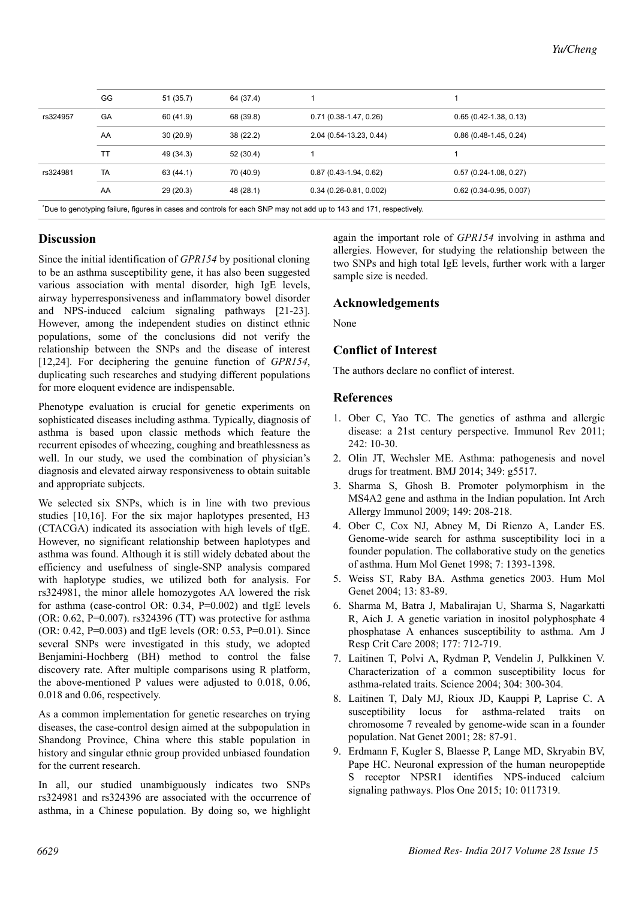|                                                                                                                    | GG        | 51 (35.7) | 64 (37.4) |                          |                           |  |  |
|--------------------------------------------------------------------------------------------------------------------|-----------|-----------|-----------|--------------------------|---------------------------|--|--|
| rs324957                                                                                                           | GA        | 60 (41.9) | 68 (39.8) | $0.71(0.38-1.47, 0.26)$  | $0.65(0.42 - 1.38, 0.13)$ |  |  |
|                                                                                                                    | AA        | 30(20.9)  | 38 (22.2) | 2.04 (0.54-13.23, 0.44)  | $0.86(0.48-1.45, 0.24)$   |  |  |
|                                                                                                                    | TТ        | 49 (34.3) | 52 (30.4) |                          |                           |  |  |
| rs324981                                                                                                           | <b>TA</b> | 63(44.1)  | 70 (40.9) | $0.87(0.43-1.94, 0.62)$  | $0.57(0.24-1.08, 0.27)$   |  |  |
|                                                                                                                    | AA        | 29(20.3)  | 48 (28.1) | $0.34(0.26-0.81, 0.002)$ | $0.62(0.34-0.95, 0.007)$  |  |  |
| Due to genotyping failure, figures in cases and controls for each SNP may not add up to 143 and 171, respectively. |           |           |           |                          |                           |  |  |

#### **Discussion**

Since the initial identification of *GPR154* by positional cloning to be an asthma susceptibility gene, it has also been suggested various association with mental disorder, high IgE levels, airway hyperresponsiveness and inflammatory bowel disorder and NPS-induced calcium signaling pathways [21-23]. However, among the independent studies on distinct ethnic populations, some of the conclusions did not verify the relationship between the SNPs and the disease of interest [12,24]. For deciphering the genuine function of *GPR154*, duplicating such researches and studying different populations for more eloquent evidence are indispensable.

Phenotype evaluation is crucial for genetic experiments on sophisticated diseases including asthma. Typically, diagnosis of asthma is based upon classic methods which feature the recurrent episodes of wheezing, coughing and breathlessness as well. In our study, we used the combination of physician's diagnosis and elevated airway responsiveness to obtain suitable and appropriate subjects.

We selected six SNPs, which is in line with two previous studies [10,16]. For the six major haplotypes presented, H3 (CTACGA) indicated its association with high levels of tIgE. However, no significant relationship between haplotypes and asthma was found. Although it is still widely debated about the efficiency and usefulness of single-SNP analysis compared with haplotype studies, we utilized both for analysis. For rs324981, the minor allele homozygotes AA lowered the risk for asthma (case-control OR: 0.34, P=0.002) and tIgE levels (OR: 0.62, P=0.007). rs324396 (TT) was protective for asthma (OR: 0.42, P=0.003) and tIgE levels (OR: 0.53, P=0.01). Since several SNPs were investigated in this study, we adopted Benjamini-Hochberg (BH) method to control the false discovery rate. After multiple comparisons using R platform, the above-mentioned P values were adjusted to 0.018, 0.06, 0.018 and 0.06, respectively.

As a common implementation for genetic researches on trying diseases, the case-control design aimed at the subpopulation in Shandong Province, China where this stable population in history and singular ethnic group provided unbiased foundation for the current research.

In all, our studied unambiguously indicates two SNPs rs324981 and rs324396 are associated with the occurrence of asthma, in a Chinese population. By doing so, we highlight

again the important role of *GPR154* involving in asthma and allergies. However, for studying the relationship between the two SNPs and high total IgE levels, further work with a larger sample size is needed.

## **Acknowledgements**

None

## **Conflict of Interest**

The authors declare no conflict of interest.

#### **References**

- 1. Ober C, Yao TC. The genetics of asthma and allergic disease: a 21st century perspective. Immunol Rev 2011; 242: 10-30.
- 2. Olin JT, Wechsler ME. Asthma: pathogenesis and novel drugs for treatment. BMJ 2014; 349: g5517.
- 3. Sharma S, Ghosh B. Promoter polymorphism in the MS4A2 gene and asthma in the Indian population. Int Arch Allergy Immunol 2009; 149: 208-218.
- 4. Ober C, Cox NJ, Abney M, Di Rienzo A, Lander ES. Genome-wide search for asthma susceptibility loci in a founder population. The collaborative study on the genetics of asthma. Hum Mol Genet 1998; 7: 1393-1398.
- 5. Weiss ST, Raby BA. Asthma genetics 2003. Hum Mol Genet 2004; 13: 83-89.
- 6. Sharma M, Batra J, Mabalirajan U, Sharma S, Nagarkatti R, Aich J. A genetic variation in inositol polyphosphate 4 phosphatase A enhances susceptibility to asthma. Am J Resp Crit Care 2008; 177: 712-719.
- 7. Laitinen T, Polvi A, Rydman P, Vendelin J, Pulkkinen V. Characterization of a common susceptibility locus for asthma-related traits. Science 2004; 304: 300-304.
- 8. Laitinen T, Daly MJ, Rioux JD, Kauppi P, Laprise C. A susceptibility locus for asthma-related traits on chromosome 7 revealed by genome-wide scan in a founder population. Nat Genet 2001; 28: 87-91.
- 9. Erdmann F, Kugler S, Blaesse P, Lange MD, Skryabin BV, Pape HC. Neuronal expression of the human neuropeptide S receptor NPSR1 identifies NPS-induced calcium signaling pathways. Plos One 2015; 10: 0117319.